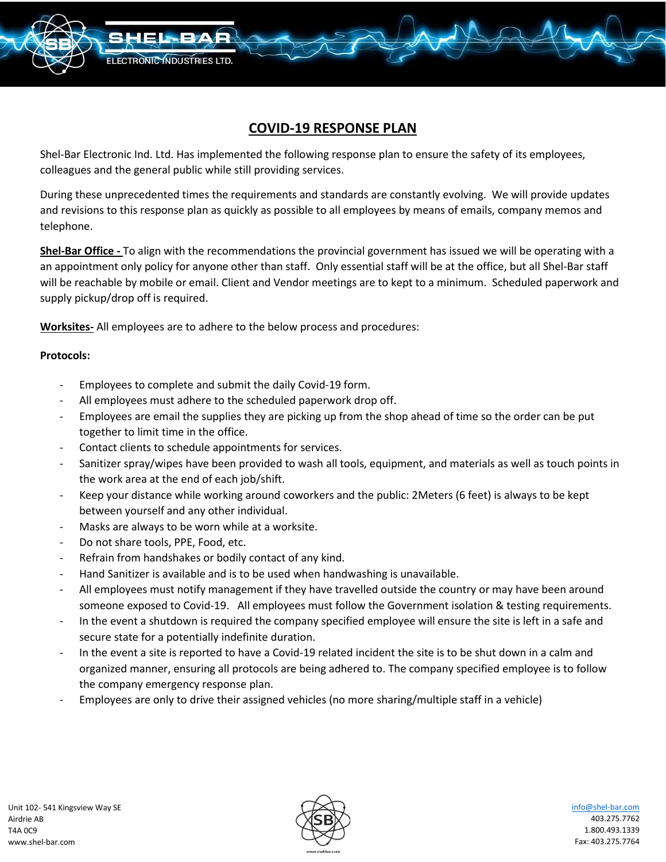

# **COVID-19 RESPONSE PLAN**

Shel-Bar Electronic Ind. Ltd. Has implemented the following response plan to ensure the safety of its employees, colleagues and the general public while still providing services.

During these unprecedented times the requirements and standards are constantly evolving. We will provide updates and revisions to this response plan as quickly as possible to all employees by means of emails, company memos and telephone.

**Shel-Bar Office -** To align with the recommendations the provincial government has issued we will be operating with a an appointment only policy for anyone other than staff. Only essential staff will be at the office, but all Shel-Bar staff will be reachable by mobile or email. Client and Vendor meetings are to kept to a minimum. Scheduled paperwork and supply pickup/drop off is required.

**Worksites-** All employees are to adhere to the below process and procedures:

## **Protocols:**

- Employees to complete and submit the daily Covid-19 form.
- All employees must adhere to the scheduled paperwork drop off.
- Employees are email the supplies they are picking up from the shop ahead of time so the order can be put together to limit time in the office.
- Contact clients to schedule appointments for services.
- Sanitizer spray/wipes have been provided to wash all tools, equipment, and materials as well as touch points in the work area at the end of each job/shift.
- Keep your distance while working around coworkers and the public: 2Meters (6 feet) is always to be kept between yourself and any other individual.
- Masks are always to be worn while at a worksite.
- Do not share tools, PPE, Food, etc.
- Refrain from handshakes or bodily contact of any kind.
- Hand Sanitizer is available and is to be used when handwashing is unavailable.
- All employees must notify management if they have travelled outside the country or may have been around someone exposed to Covid-19. All employees must follow the Government isolation & testing requirements.
- In the event a shutdown is required the company specified employee will ensure the site is left in a safe and secure state for a potentially indefinite duration.
- In the event a site is reported to have a Covid-19 related incident the site is to be shut down in a calm and organized manner, ensuring all protocols are being adhered to. The company specified employee is to follow the company emergency response plan.
- Employees are only to drive their assigned vehicles (no more sharing/multiple staff in a vehicle)



[info@shel-bar.com](mailto:info@shel-bar.com) 403.275.7762 1.800.493.1339 Fax: 403.275.7764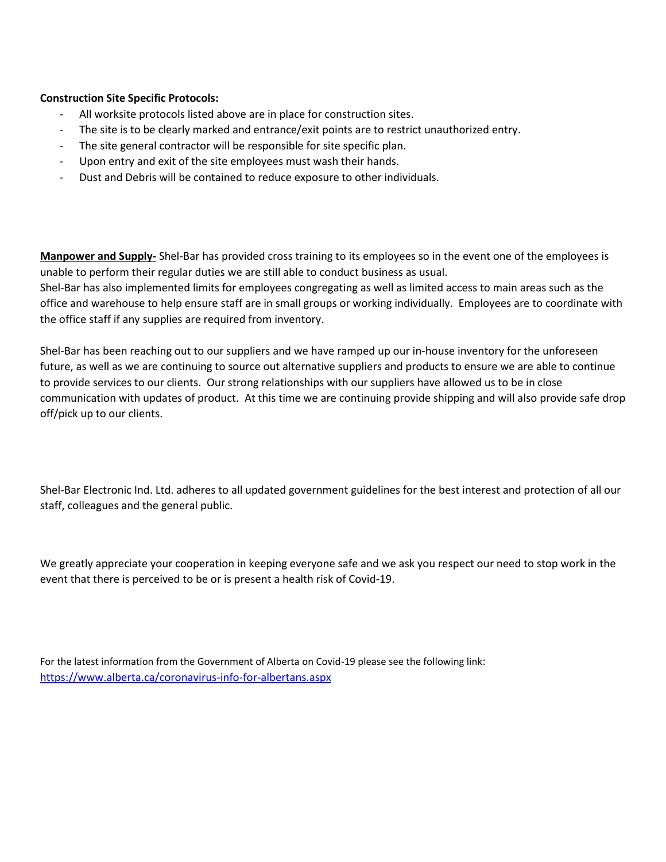## **Construction Site Specific Protocols:**

- All worksite protocols listed above are in place for construction sites.
- The site is to be clearly marked and entrance/exit points are to restrict unauthorized entry.
- The site general contractor will be responsible for site specific plan.
- Upon entry and exit of the site employees must wash their hands.
- Dust and Debris will be contained to reduce exposure to other individuals.

**Manpower and Supply-** Shel-Bar has provided cross training to its employees so in the event one of the employees is unable to perform their regular duties we are still able to conduct business as usual.

Shel-Bar has also implemented limits for employees congregating as well as limited access to main areas such as the office and warehouse to help ensure staff are in small groups or working individually. Employees are to coordinate with the office staff if any supplies are required from inventory.

Shel-Bar has been reaching out to our suppliers and we have ramped up our in-house inventory for the unforeseen future, as well as we are continuing to source out alternative suppliers and products to ensure we are able to continue to provide services to our clients. Our strong relationships with our suppliers have allowed us to be in close communication with updates of product. At this time we are continuing provide shipping and will also provide safe drop off/pick up to our clients.

Shel-Bar Electronic Ind. Ltd. adheres to all updated government guidelines for the best interest and protection of all our staff, colleagues and the general public.

We greatly appreciate your cooperation in keeping everyone safe and we ask you respect our need to stop work in the event that there is perceived to be or is present a health risk of Covid-19.

For the latest information from the Government of Alberta on Covid-19 please see the following link: <https://www.alberta.ca/coronavirus-info-for-albertans.aspx>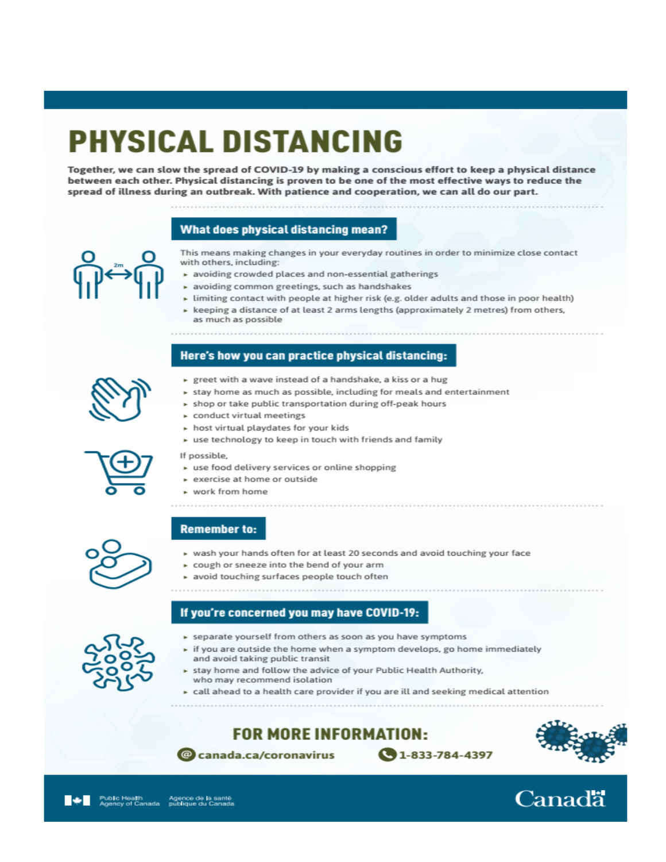# PHYSICAL DISTANCING

Together, we can slow the spread of COVID-19 by making a conscious effort to keep a physical distance between each other. Physical distancing is proven to be one of the most effective ways to reduce the spread of illness during an outbreak. With patience and cooperation, we can all do our part.

# What does physical distancing mean?



- This means making changes in your everyday routines in order to minimize close contact with others, including:
- \* avoiding crowded places and non-essential gatherings
- avoiding common greetings, such as handshakes
- $\triangleright$  limiting contact with people at higher risk (e.g. older adults and those in poor health)
- ► keeping a distance of at least 2 arms lengths (approximately 2 metres) from others, as much as possible

# Here's how you can practice physical distancing:



- ► greet with a wave instead of a handshake, a kiss or a hug
- stay home as much as possible, including for meals and entertainment
- » shop or take public transportation during off-peak hours
- conduct virtual meetings
- ► host virtual playdates for your kids
- » use technology to keep in touch with friends and family



### If possible.

- » use food delivery services or online shopping
- exercise at home or outside
- 

### **Remember to:**

- vash your hands often for at least 20 seconds and avoid touching your face
- ► cough or sneeze into the bend of your arm
- \* avoid touching surfaces people touch often
- 

# If you're concerned you may have COVID-19:



- ▶ separate yourself from others as soon as you have symptoms
- if you are outside the home when a symptom develops, go home immediately and avoid taking public transit
- stay home and follow the advice of your Public Health Authority, who may recommend isolation
- ► call ahead to a health care provider if you are ill and seeking medical attention

 $\bigcirc$  1-833-784-4397

**FOR MORE INFORMATION:** 

@ canada.ca/coronavirus





Canadä

► work from home

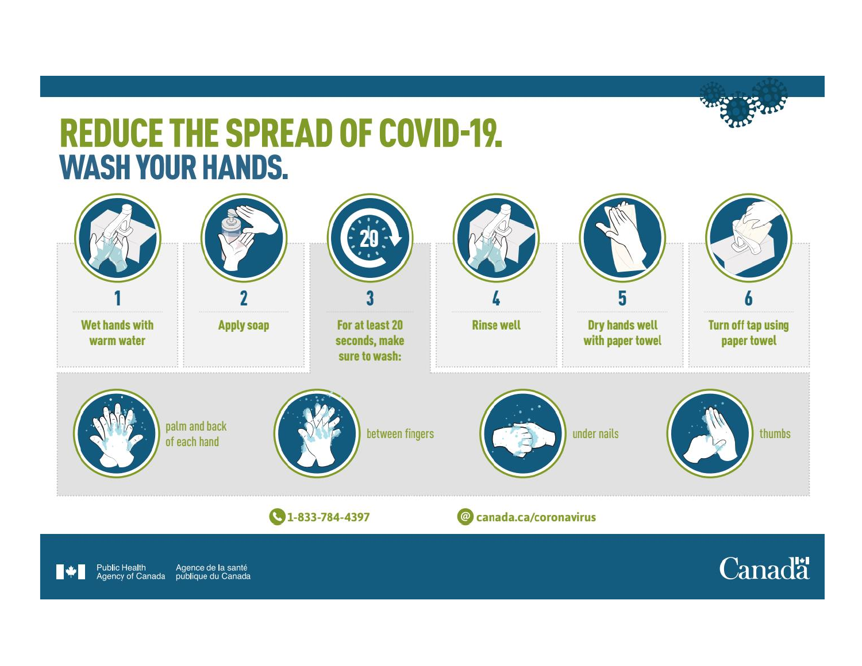# **REDUCE THE SPREAD OF COVID-19. WASH YOUR HANDS.**



Agence de la santé<br>publique du Canada **Public Health** Agency of Canada